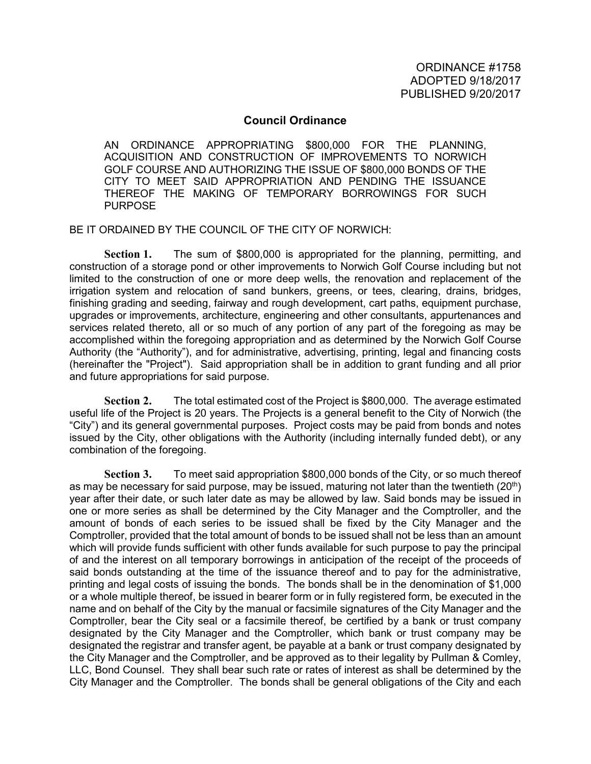## **Council Ordinance**

AN ORDINANCE APPROPRIATING \$800,000 FOR THE PLANNING, ACQUISITION AND CONSTRUCTION OF IMPROVEMENTS TO NORWICH GOLF COURSE AND AUTHORIZING THE ISSUE OF \$800,000 BONDS OF THE CITY TO MEET SAID APPROPRIATION AND PENDING THE ISSUANCE THEREOF THE MAKING OF TEMPORARY BORROWINGS FOR SUCH PURPOSE

BE IT ORDAINED BY THE COUNCIL OF THE CITY OF NORWICH:

**Section 1.** The sum of \$800,000 is appropriated for the planning, permitting, and construction of a storage pond or other improvements to Norwich Golf Course including but not limited to the construction of one or more deep wells, the renovation and replacement of the irrigation system and relocation of sand bunkers, greens, or tees, clearing, drains, bridges, finishing grading and seeding, fairway and rough development, cart paths, equipment purchase, upgrades or improvements, architecture, engineering and other consultants, appurtenances and services related thereto, all or so much of any portion of any part of the foregoing as may be accomplished within the foregoing appropriation and as determined by the Norwich Golf Course Authority (the "Authority"), and for administrative, advertising, printing, legal and financing costs (hereinafter the "Project"). Said appropriation shall be in addition to grant funding and all prior and future appropriations for said purpose.

**Section 2.** The total estimated cost of the Project is \$800,000. The average estimated useful life of the Project is 20 years. The Projects is a general benefit to the City of Norwich (the "City") and its general governmental purposes. Project costs may be paid from bonds and notes issued by the City, other obligations with the Authority (including internally funded debt), or any combination of the foregoing.

**Section 3.** To meet said appropriation \$800,000 bonds of the City, or so much thereof as may be necessary for said purpose, may be issued, maturing not later than the twentieth  $(20<sup>th</sup>)$ year after their date, or such later date as may be allowed by law. Said bonds may be issued in one or more series as shall be determined by the City Manager and the Comptroller, and the amount of bonds of each series to be issued shall be fixed by the City Manager and the Comptroller, provided that the total amount of bonds to be issued shall not be less than an amount which will provide funds sufficient with other funds available for such purpose to pay the principal of and the interest on all temporary borrowings in anticipation of the receipt of the proceeds of said bonds outstanding at the time of the issuance thereof and to pay for the administrative, printing and legal costs of issuing the bonds. The bonds shall be in the denomination of \$1,000 or a whole multiple thereof, be issued in bearer form or in fully registered form, be executed in the name and on behalf of the City by the manual or facsimile signatures of the City Manager and the Comptroller, bear the City seal or a facsimile thereof, be certified by a bank or trust company designated by the City Manager and the Comptroller, which bank or trust company may be designated the registrar and transfer agent, be payable at a bank or trust company designated by the City Manager and the Comptroller, and be approved as to their legality by Pullman & Comley, LLC, Bond Counsel. They shall bear such rate or rates of interest as shall be determined by the City Manager and the Comptroller. The bonds shall be general obligations of the City and each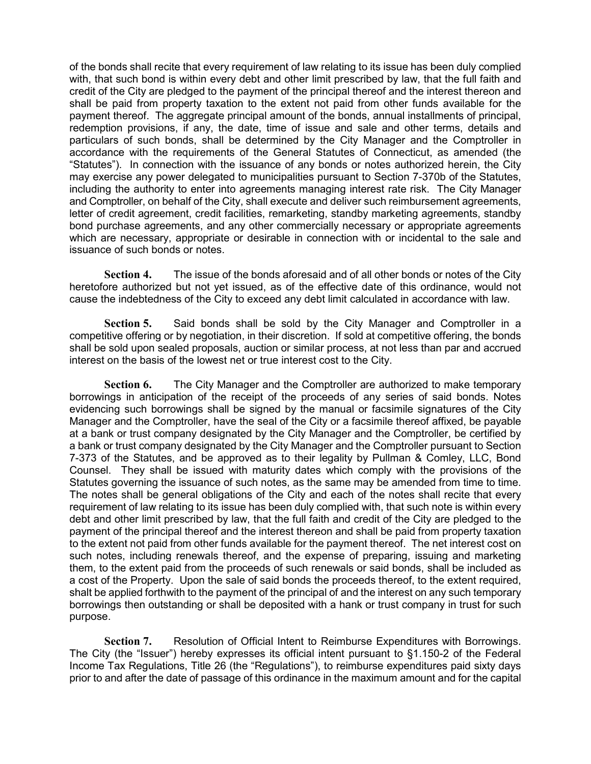of the bonds shall recite that every requirement of law relating to its issue has been duly complied with, that such bond is within every debt and other limit prescribed by law, that the full faith and credit of the City are pledged to the payment of the principal thereof and the interest thereon and shall be paid from property taxation to the extent not paid from other funds available for the payment thereof. The aggregate principal amount of the bonds, annual installments of principal, redemption provisions, if any, the date, time of issue and sale and other terms, details and particulars of such bonds, shall be determined by the City Manager and the Comptroller in accordance with the requirements of the General Statutes of Connecticut, as amended (the "Statutes"). In connection with the issuance of any bonds or notes authorized herein, the City may exercise any power delegated to municipalities pursuant to Section 7-370b of the Statutes, including the authority to enter into agreements managing interest rate risk. The City Manager and Comptroller, on behalf of the City, shall execute and deliver such reimbursement agreements, letter of credit agreement, credit facilities, remarketing, standby marketing agreements, standby bond purchase agreements, and any other commercially necessary or appropriate agreements which are necessary, appropriate or desirable in connection with or incidental to the sale and issuance of such bonds or notes.

**Section 4.** The issue of the bonds aforesaid and of all other bonds or notes of the City heretofore authorized but not yet issued, as of the effective date of this ordinance, would not cause the indebtedness of the City to exceed any debt limit calculated in accordance with law.

**Section 5.** Said bonds shall be sold by the City Manager and Comptroller in a competitive offering or by negotiation, in their discretion. If sold at competitive offering, the bonds shall be sold upon sealed proposals, auction or similar process, at not less than par and accrued interest on the basis of the lowest net or true interest cost to the City.

**Section 6.** The City Manager and the Comptroller are authorized to make temporary borrowings in anticipation of the receipt of the proceeds of any series of said bonds. Notes evidencing such borrowings shall be signed by the manual or facsimile signatures of the City Manager and the Comptroller, have the seal of the City or a facsimile thereof affixed, be payable at a bank or trust company designated by the City Manager and the Comptroller, be certified by a bank or trust company designated by the City Manager and the Comptroller pursuant to Section 7-373 of the Statutes, and be approved as to their legality by Pullman & Comley, LLC, Bond Counsel. They shall be issued with maturity dates which comply with the provisions of the Statutes governing the issuance of such notes, as the same may be amended from time to time. The notes shall be general obligations of the City and each of the notes shall recite that every requirement of law relating to its issue has been duly complied with, that such note is within every debt and other limit prescribed by law, that the full faith and credit of the City are pledged to the payment of the principal thereof and the interest thereon and shall be paid from property taxation to the extent not paid from other funds available for the payment thereof. The net interest cost on such notes, including renewals thereof, and the expense of preparing, issuing and marketing them, to the extent paid from the proceeds of such renewals or said bonds, shall be included as a cost of the Property. Upon the sale of said bonds the proceeds thereof, to the extent required, shalt be applied forthwith to the payment of the principal of and the interest on any such temporary borrowings then outstanding or shall be deposited with a hank or trust company in trust for such purpose.

**Section 7.** Resolution of Official Intent to Reimburse Expenditures with Borrowings. The City (the "Issuer") hereby expresses its official intent pursuant to §1.150-2 of the Federal Income Tax Regulations, Title 26 (the "Regulations"), to reimburse expenditures paid sixty days prior to and after the date of passage of this ordinance in the maximum amount and for the capital